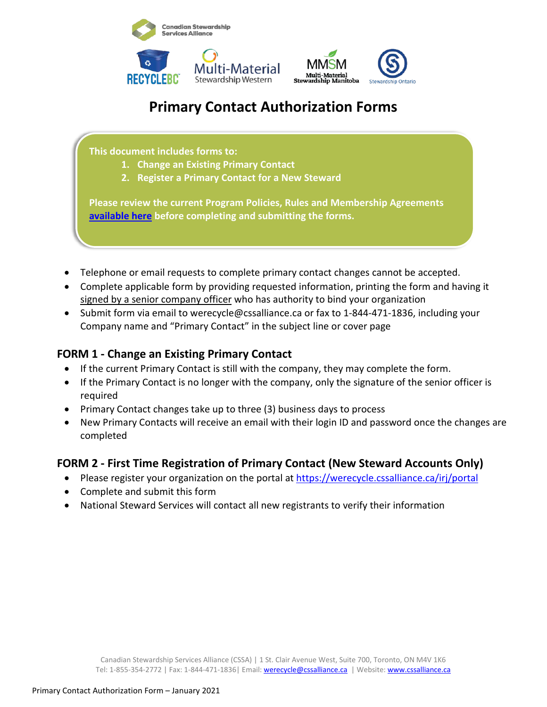



# **Primary Contact Authorization Forms**

**This document includes forms to:** 

- **1. Change an Existing Primary Contact**
- **2. Register a Primary Contact for a New Steward**

**Please review the current Program Policies, Rules and Membership Agreements [available here](https://www.cssalliance.ca/currentpolicies/) before completing and submitting the forms.**

- Telephone or email requests to complete primary contact changes cannot be accepted.
- Complete applicable form by providing requested information, printing the form and having it signed by a senior company officer who has authority to bind your organization
- Submit form via email to werecycle@cssalliance.ca or fax to 1-844-471-1836, including your Company name and "Primary Contact" in the subject line or cover page

### **FORM 1 - Change an Existing Primary Contact**

- If the current Primary Contact is still with the company, they may complete the form.
- If the Primary Contact is no longer with the company, only the signature of the senior officer is required
- Primary Contact changes take up to three (3) business days to process
- New Primary Contacts will receive an email with their login ID and password once the changes are completed

### **FORM 2 - First Time Registration of Primary Contact (New Steward Accounts Only)**

- Please register your organization on the portal at<https://werecycle.cssalliance.ca/irj/portal>
- Complete and submit this form
- National Steward Services will contact all new registrants to verify their information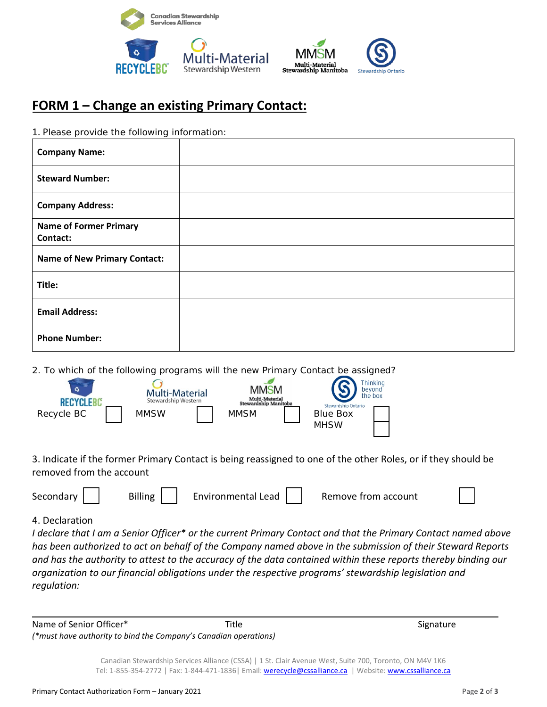



## **FORM 1 – Change an existing Primary Contact:**

| 1. Please provide the following information: |  |
|----------------------------------------------|--|
| <b>Company Name:</b>                         |  |
| <b>Steward Number:</b>                       |  |
| <b>Company Address:</b>                      |  |
| <b>Name of Former Primary</b><br>Contact:    |  |
| <b>Name of New Primary Contact:</b>          |  |
| Title:                                       |  |
| <b>Email Address:</b>                        |  |
| <b>Phone Number:</b>                         |  |

2. To which of the following programs will the new Primary Contact be assigned?

| ۵<br><b>RECYCLE</b> | <b>Multi-Material</b><br>Stewardship Western | <b>MMSM</b><br>Multi-Material<br><b>Stewardship Manitoba</b> | <b>Thinking</b><br>bevond<br>the box<br>Stewardship Ontario |  |
|---------------------|----------------------------------------------|--------------------------------------------------------------|-------------------------------------------------------------|--|
| Recycle BC          | <b>MMSW</b>                                  | <b>MMSM</b>                                                  | <b>Blue Box</b>                                             |  |
|                     |                                              |                                                              | <b>MHSW</b>                                                 |  |

3. Indicate if the former Primary Contact is being reassigned to one of the other Roles, or if they should be removed from the account

| Secondary | <b>Billing</b> | <b>Environmental Lead</b> | Remove from account |  |
|-----------|----------------|---------------------------|---------------------|--|
|-----------|----------------|---------------------------|---------------------|--|

#### 4. Declaration

*I declare that I am a Senior Officer\* or the current Primary Contact and that the Primary Contact named above has been authorized to act on behalf of the Company named above in the submission of their Steward Reports and has the authority to attest to the accuracy of the data contained within these reports thereby binding our organization to our financial obligations under the respective programs' stewardship legislation and regulation:*

Name of Senior Officer\* The Signature Signature Signature Signature Signature Signature *(\*must have authority to bind the Company's Canadian operations)*

Canadian Stewardship Services Alliance (CSSA) | 1 St. Clair Avenue West, Suite 700, Toronto, ON M4V 1K6 Tel: 1-855-354-2772 | Fax: 1-844-471-1836 | Email[: werecycle@cssalliance.ca](mailto:werecycle@cssalliance.ca) | Website: [www.cssalliance.ca](http://www.cssalliance.ca/)